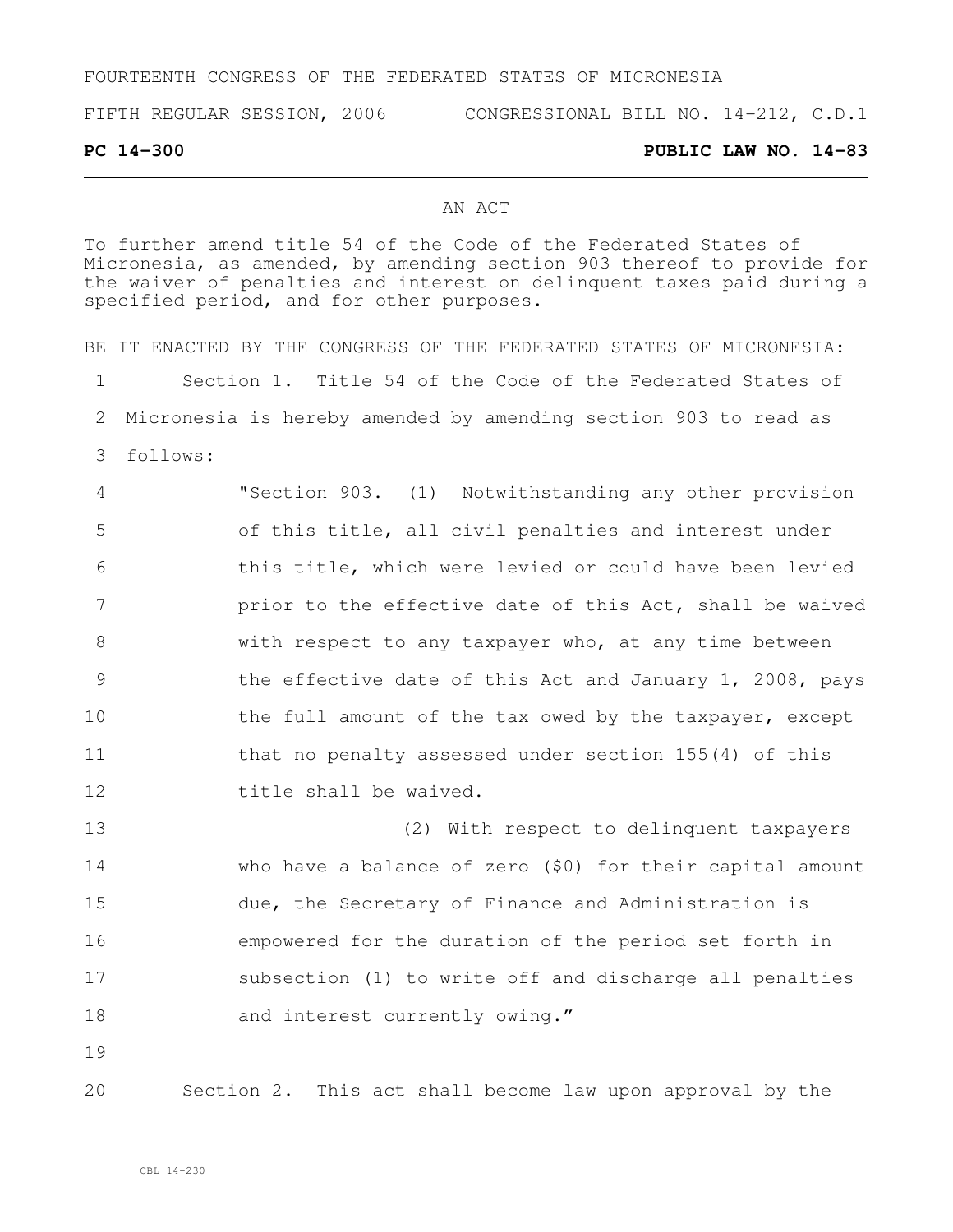# FOURTEENTH CONGRESS OF THE FEDERATED STATES OF MICRONESIA

FIFTH REGULAR SESSION, 2006 CONGRESSIONAL BILL NO. 14-212, C.D.1

### **PC 14-300 PUBLIC LAW NO. 14-83**

## AN ACT

To further amend title 54 of the Code of the Federated States of Micronesia, as amended, by amending section 903 thereof to provide for the waiver of penalties and interest on delinquent taxes paid during a specified period, and for other purposes.

BE IT ENACTED BY THE CONGRESS OF THE FEDERATED STATES OF MICRONESIA: Section 1. Title 54 of the Code of the Federated States of Micronesia is hereby amended by amending section 903 to read as 3 follows: "Section 903. (1) Notwithstanding any other provision of this title, all civil penalties and interest under this title, which were levied or could have been levied **prior to the effective date of this Act, shall be waived**  with respect to any taxpayer who, at any time between the effective date of this Act and January 1, 2008, pays 10 the full amount of the tax owed by the taxpayer, except 11 that no penalty assessed under section 155(4) of this title shall be waived. (2) With respect to delinquent taxpayers who have a balance of zero (\$0) for their capital amount due, the Secretary of Finance and Administration is empowered for the duration of the period set forth in subsection (1) to write off and discharge all penalties 18 and interest currently owing." 19

20 Section 2. This act shall become law upon approval by the